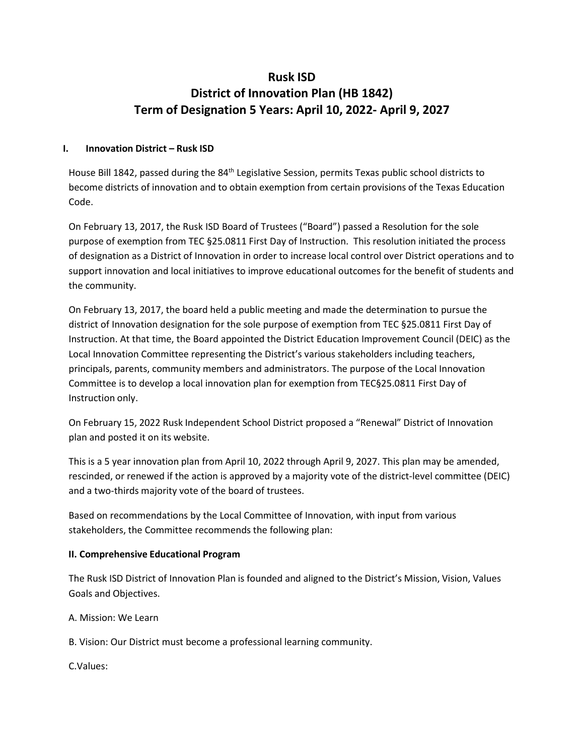# **Rusk ISD District of Innovation Plan (HB 1842) Term of Designation 5 Years: April 10, 2022- April 9, 2027**

#### **I. Innovation District – Rusk ISD**

House Bill 1842, passed during the 84<sup>th</sup> Legislative Session, permits Texas public school districts to become districts of innovation and to obtain exemption from certain provisions of the Texas Education Code.

On February 13, 2017, the Rusk ISD Board of Trustees ("Board") passed a Resolution for the sole purpose of exemption from TEC §25.0811 First Day of Instruction. This resolution initiated the process of designation as a District of Innovation in order to increase local control over District operations and to support innovation and local initiatives to improve educational outcomes for the benefit of students and the community.

On February 13, 2017, the board held a public meeting and made the determination to pursue the district of Innovation designation for the sole purpose of exemption from TEC §25.0811 First Day of Instruction. At that time, the Board appointed the District Education Improvement Council (DEIC) as the Local Innovation Committee representing the District's various stakeholders including teachers, principals, parents, community members and administrators. The purpose of the Local Innovation Committee is to develop a local innovation plan for exemption from TEC§25.0811 First Day of Instruction only.

On February 15, 2022 Rusk Independent School District proposed a "Renewal" District of Innovation plan and posted it on its website.

This is a 5 year innovation plan from April 10, 2022 through April 9, 2027. This plan may be amended, rescinded, or renewed if the action is approved by a majority vote of the district-level committee (DEIC) and a two-thirds majority vote of the board of trustees.

Based on recommendations by the Local Committee of Innovation, with input from various stakeholders, the Committee recommends the following plan:

## **II. Comprehensive Educational Program**

The Rusk ISD District of Innovation Plan is founded and aligned to the District's Mission, Vision, Values Goals and Objectives.

A. Mission: We Learn

B. Vision: Our District must become a professional learning community.

C.Values: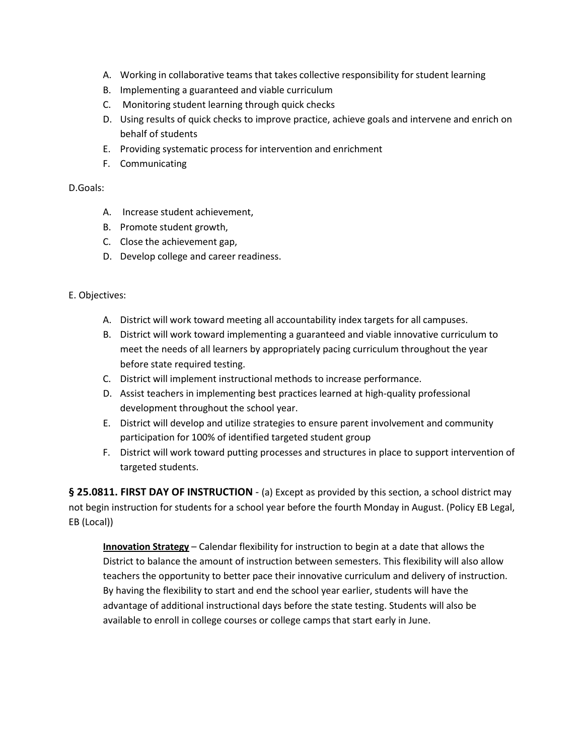- A. Working in collaborative teams that takes collective responsibility for student learning
- B. Implementing a guaranteed and viable curriculum
- C. Monitoring student learning through quick checks
- D. Using results of quick checks to improve practice, achieve goals and intervene and enrich on behalf of students
- E. Providing systematic process for intervention and enrichment
- F. Communicating

#### D.Goals:

- A. Increase student achievement,
- B. Promote student growth,
- C. Close the achievement gap,
- D. Develop college and career readiness.

## E. Objectives:

- A. District will work toward meeting all accountability index targets for all campuses.
- B. District will work toward implementing a guaranteed and viable innovative curriculum to meet the needs of all learners by appropriately pacing curriculum throughout the year before state required testing.
- C. District will implement instructional methods to increase performance.
- D. Assist teachers in implementing best practices learned at high-quality professional development throughout the school year.
- E. District will develop and utilize strategies to ensure parent involvement and community participation for 100% of identified targeted student group
- F. District will work toward putting processes and structures in place to support intervention of targeted students.

**§ 25.0811. FIRST DAY OF INSTRUCTION** - (a) Except as provided by this section, a school district may not begin instruction for students for a school year before the fourth Monday in August. (Policy EB Legal, EB (Local))

**Innovation Strategy** – Calendar flexibility for instruction to begin at a date that allows the District to balance the amount of instruction between semesters. This flexibility will also allow teachers the opportunity to better pace their innovative curriculum and delivery of instruction. By having the flexibility to start and end the school year earlier, students will have the advantage of additional instructional days before the state testing. Students will also be available to enroll in college courses or college camps that start early in June.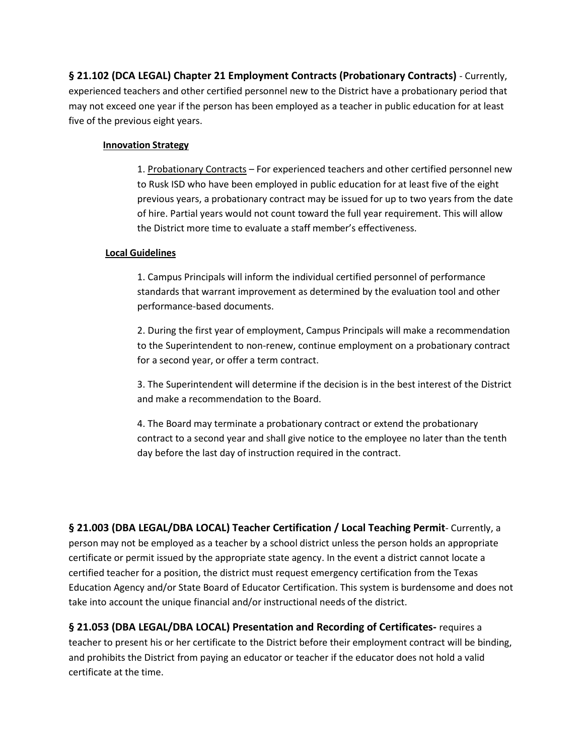**§ 21.102 (DCA LEGAL) Chapter 21 Employment Contracts (Probationary Contracts)** - Currently, experienced teachers and other certified personnel new to the District have a probationary period that may not exceed one year if the person has been employed as a teacher in public education for at least five of the previous eight years.

#### **Innovation Strategy**

1. Probationary Contracts – For experienced teachers and other certified personnel new to Rusk ISD who have been employed in public education for at least five of the eight previous years, a probationary contract may be issued for up to two years from the date of hire. Partial years would not count toward the full year requirement. This will allow the District more time to evaluate a staff member's effectiveness.

#### **Local Guidelines**

1. Campus Principals will inform the individual certified personnel of performance standards that warrant improvement as determined by the evaluation tool and other performance-based documents.

2. During the first year of employment, Campus Principals will make a recommendation to the Superintendent to non-renew, continue employment on a probationary contract for a second year, or offer a term contract.

3. The Superintendent will determine if the decision is in the best interest of the District and make a recommendation to the Board.

4. The Board may terminate a probationary contract or extend the probationary contract to a second year and shall give notice to the employee no later than the tenth day before the last day of instruction required in the contract.

**§ 21.003 (DBA LEGAL/DBA LOCAL) Teacher Certification / Local Teaching Permit**- Currently, a person may not be employed as a teacher by a school district unless the person holds an appropriate certificate or permit issued by the appropriate state agency. In the event a district cannot locate a certified teacher for a position, the district must request emergency certification from the Texas Education Agency and/or State Board of Educator Certification. This system is burdensome and does not take into account the unique financial and/or instructional needs of the district.

**§ 21.053 (DBA LEGAL/DBA LOCAL) Presentation and Recording of Certificates-** requires a teacher to present his or her certificate to the District before their employment contract will be binding, and prohibits the District from paying an educator or teacher if the educator does not hold a valid certificate at the time.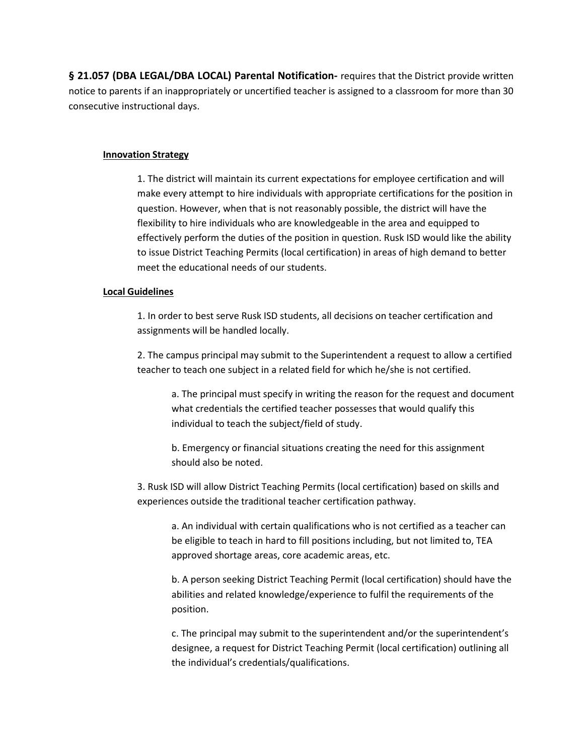**§ 21.057 (DBA LEGAL/DBA LOCAL) Parental Notification-** requires that the District provide written notice to parents if an inappropriately or uncertified teacher is assigned to a classroom for more than 30 consecutive instructional days.

#### **Innovation Strategy**

1. The district will maintain its current expectations for employee certification and will make every attempt to hire individuals with appropriate certifications for the position in question. However, when that is not reasonably possible, the district will have the flexibility to hire individuals who are knowledgeable in the area and equipped to effectively perform the duties of the position in question. Rusk ISD would like the ability to issue District Teaching Permits (local certification) in areas of high demand to better meet the educational needs of our students.

#### **Local Guidelines**

1. In order to best serve Rusk ISD students, all decisions on teacher certification and assignments will be handled locally.

2. The campus principal may submit to the Superintendent a request to allow a certified teacher to teach one subject in a related field for which he/she is not certified.

a. The principal must specify in writing the reason for the request and document what credentials the certified teacher possesses that would qualify this individual to teach the subject/field of study.

b. Emergency or financial situations creating the need for this assignment should also be noted.

3. Rusk ISD will allow District Teaching Permits (local certification) based on skills and experiences outside the traditional teacher certification pathway.

a. An individual with certain qualifications who is not certified as a teacher can be eligible to teach in hard to fill positions including, but not limited to, TEA approved shortage areas, core academic areas, etc.

b. A person seeking District Teaching Permit (local certification) should have the abilities and related knowledge/experience to fulfil the requirements of the position.

c. The principal may submit to the superintendent and/or the superintendent's designee, a request for District Teaching Permit (local certification) outlining all the individual's credentials/qualifications.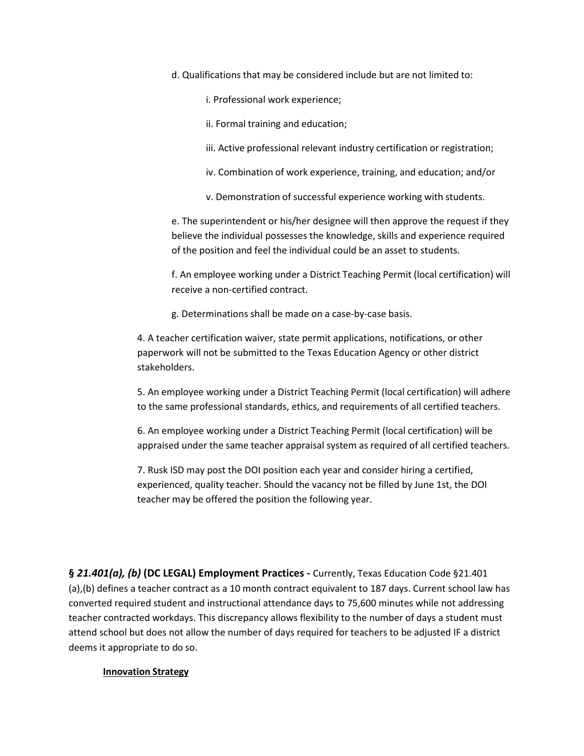d. Qualifications that may be considered include but are not limited to:

i. Professional work experience;

ii. Formal training and education;

- iii. Active professional relevant industry certification or registration;
- iv. Combination of work experience, training, and education; and/or
- v. Demonstration of successful experience working with students.

e. The superintendent or his/her designee will then approve the request if they believe the individual possesses the knowledge, skills and experience required of the position and feel the individual could be an asset to students.

f. An employee working under a District Teaching Permit (local certification) will receive a non-certified contract.

g. Determinations shall be made on a case-by-case basis.

4. A teacher certification waiver, state permit applications, notifications, or other paperwork will not be submitted to the Texas Education Agency or other district stakeholders.

5. An employee working under a District Teaching Permit (local certification) will adhere to the same professional standards, ethics, and requirements of all certified teachers.

6. An employee working under a District Teaching Permit (local certification) will be appraised under the same teacher appraisal system as required of all certified teachers.

7. Rusk ISD may post the DOI position each year and consider hiring a certified, experienced, quality teacher. Should the vacancy not be filled by June 1st, the DOI teacher may be offered the position the following year.

**§** *21.401(a), (b)* **(DC LEGAL) Employment Practices -** Currently, Texas Education Code §21.401 (a),(b) defines a teacher contract as a 10 month contract equivalent to 187 days. Current school law has converted required student and instructional attendance days to 75,600 minutes while not addressing teacher contracted workdays. This discrepancy allows flexibility to the number of days a student must attend school but does not allow the number of days required for teachers to be adjusted IF a district deems it appropriate to do so.

#### **Innovation Strategy**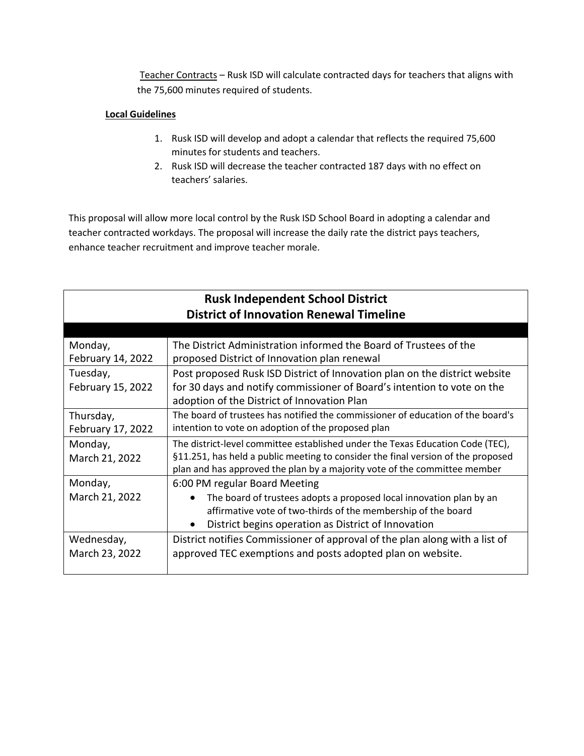Teacher Contracts – Rusk ISD will calculate contracted days for teachers that aligns with the 75,600 minutes required of students.

# **Local Guidelines**

- 1. Rusk ISD will develop and adopt a calendar that reflects the required 75,600 minutes for students and teachers.
- 2. Rusk ISD will decrease the teacher contracted 187 days with no effect on teachers' salaries.

This proposal will allow more local control by the Rusk ISD School Board in adopting a calendar and teacher contracted workdays. The proposal will increase the daily rate the district pays teachers, enhance teacher recruitment and improve teacher morale.

| <b>Rusk Independent School District</b><br><b>District of Innovation Renewal Timeline</b> |                                                                                                                                                                                                                                                 |  |
|-------------------------------------------------------------------------------------------|-------------------------------------------------------------------------------------------------------------------------------------------------------------------------------------------------------------------------------------------------|--|
|                                                                                           |                                                                                                                                                                                                                                                 |  |
| Monday,<br>February 14, 2022                                                              | The District Administration informed the Board of Trustees of the<br>proposed District of Innovation plan renewal                                                                                                                               |  |
| Tuesday,<br>February 15, 2022                                                             | Post proposed Rusk ISD District of Innovation plan on the district website<br>for 30 days and notify commissioner of Board's intention to vote on the<br>adoption of the District of Innovation Plan                                            |  |
| Thursday,<br>February 17, 2022                                                            | The board of trustees has notified the commissioner of education of the board's<br>intention to vote on adoption of the proposed plan                                                                                                           |  |
| Monday,<br>March 21, 2022                                                                 | The district-level committee established under the Texas Education Code (TEC),<br>§11.251, has held a public meeting to consider the final version of the proposed<br>plan and has approved the plan by a majority vote of the committee member |  |
| Monday,<br>March 21, 2022                                                                 | 6:00 PM regular Board Meeting<br>The board of trustees adopts a proposed local innovation plan by an<br>affirmative vote of two-thirds of the membership of the board<br>District begins operation as District of Innovation<br>$\bullet$       |  |
| Wednesday,<br>March 23, 2022                                                              | District notifies Commissioner of approval of the plan along with a list of<br>approved TEC exemptions and posts adopted plan on website.                                                                                                       |  |